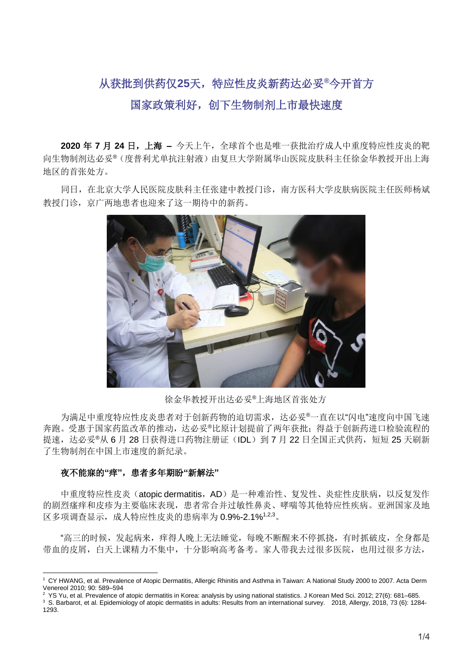## 从获批到供药仅**25**天,特应性皮炎新药达必妥**®**今开首方 国家政策利好,创下生物制剂上市最快速度

**2020** 年 **7** 月 **24** 日,上海 **–** 今天上午,全球首个也是唯一获批治疗成人中重度特应性皮炎的靶 向生物制剂达必妥®(度普利尤单抗注射液)由复旦大学附属华山医院皮肤科主任徐金华教授开出上海 地区的首张处方。

同日,在北京大学人民医院皮肤科主任张建中教授门诊,南方医科大学皮肤病医院主任医师杨斌 教授门诊,京广两地患者也迎来了这一期待中的新药。



徐金华教授开出达必妥®上海地区首张处方

为满足中重度特应性皮炎患者对于创新药物的迫切需求,达必妥®一直在以"闪电"速度向中国飞速 奔跑。受惠于国家药监改革的推动,达必妥®比原计划提前了两年获批;得益于创新药进口检验流程的 提速,达必妥®从 6 月 28 日获得进口药物注册证(IDL)到 7 月 22 日全国正式供药, 短短 25 天刷新 了生物制剂在中国上市速度的新纪录。

## 夜不能寐的**"**痒**"**,患者多年期盼**"**新解法**"**

中重度特应性皮炎(atopic dermatitis, AD)是一种难治性、复发性、炎症性皮肤病, 以反复发作 的剧烈瘙痒和皮疹为主要临床表现,患者常合并过敏性鼻炎、哮喘等其他特应性疾病。亚洲国家及地 区多项调查显示,成人特应性皮炎的患病率为 0.9%-2.1%1,2,3。

"高三的时候,发起病来,痒得人晚上无法睡觉,每晚不断醒来不停抓挠,有时抓破皮,全身都是 带血的皮屑,白天上课精力不集中,十分影响高考备考。家人带我夫过很多医院,也用过很多方法,

<sup>1</sup> CY HWANG, et al. Prevalence of Atopic Dermatitis, Allergic Rhinitis and Asthma in Taiwan: A National Study 2000 to 2007. Acta Derm Venereol 2010; 90: 589–594

<sup>&</sup>lt;sup>2</sup> YS Yu, et al. Prevalence of atopic dermatitis in Korea: analysis by using national statistics. J Korean Med Sci. 2012; 27(6): 681–685.

<sup>&</sup>lt;sup>3</sup> S. Barbarot, et al. Epidemiology of atopic dermatitis in adults: Results from an international survey. 2018, Allergy, 2018, 73 (6): 1284-1293.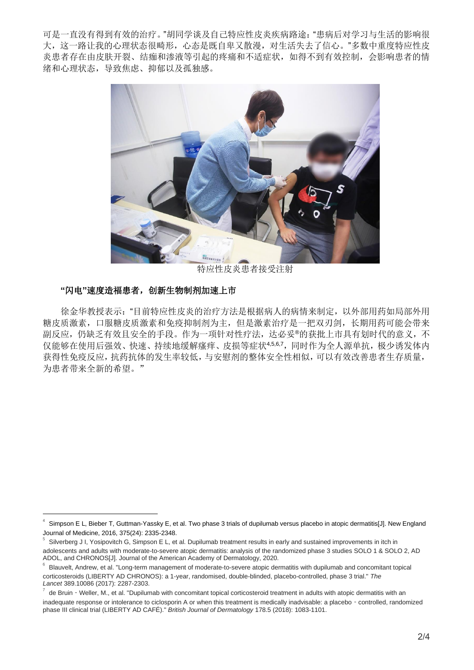可是一直没有得到有效的治疗。"胡同学谈及自己特应性皮炎疾病路途:"患病后对学习与生活的影响很 大,这一路让我的心理状态很畸形,心态是既自卑又散漫,对生活失去了信心。"多数中重度特应性皮 炎患者存在由皮肤开裂、结痂和渗液等引起的疼痛和不适症状,如得不到有效控制,会影响患者的情 绪和心理状态,导致焦虑、抑郁以及孤独感。



特应性皮炎患者接受注射

## **"**闪电**"**速度造福患者,创新生物制剂加速上市

徐金华教授表示:"目前特应性皮炎的治疗方法是根据病人的病情来制定,以外部用药如局部外用 糖皮质激素,口服糖皮质激素和免疫抑制剂为主,但是激素治疗是一把双刃剑,长期用药可能会带来 副反应,仍缺乏有效且安全的手段。作为一项针对性疗法,达必妥®的获批上市具有划时代的意义,不 仅能够在使用后强效、快速、持续地缓解瘙痒、皮损等症状4,5,6,7,同时作为全人源单抗,极少诱发体内 获得性免疫反应,抗药抗体的发生率较低,与安慰剂的整体安全性相似,可以有效改善患者生存质量, 为患者带来全新的希望。"

<sup>4</sup> Simpson E L, Bieber T, Guttman-Yassky E, et al. Two phase 3 trials of dupilumab versus placebo in atopic dermatitis[J]. New England Journal of Medicine, 2016, 375(24): 2335-2348.

<sup>5</sup> Silverberg J I, Yosipovitch G, Simpson E L, et al. Dupilumab treatment results in early and sustained improvements in itch in adolescents and adults with moderate-to-severe atopic dermatitis: analysis of the randomized phase 3 studies SOLO 1 & SOLO 2, AD ADOL, and CHRONOS[J]. Journal of the American Academy of Dermatology, 2020.

<sup>6</sup> Blauvelt, Andrew, et al. "Long-term management of moderate-to-severe atopic dermatitis with dupilumab and concomitant topical corticosteroids (LIBERTY AD CHRONOS): a 1-year, randomised, double-blinded, placebo-controlled, phase 3 trial." *The Lancet* 389.10086 (2017): 2287-2303.

<sup>7</sup> de Bruin - Weller, M., et al. "Dupilumab with concomitant topical corticosteroid treatment in adults with atopic dermatitis with an inadequate response or intolerance to ciclosporin A or when this treatment is medically inadvisable: a placebo - controlled, randomized phase III clinical trial (LIBERTY AD CAFÉ)." *British Journal of Dermatology* 178.5 (2018): 1083-1101.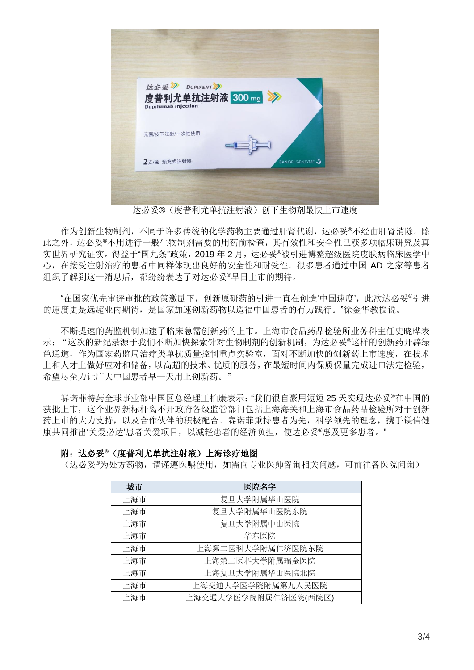

达必妥®(度普利尤单抗注射液)创下生物剂最快上市速度

作为创新生物制剂,不同于许多传统的化学药物主要通过肝肾代谢,达必妥®不经由肝肾消除。除 此之外,达必妥®不用进行一般生物制剂需要的用药前检查,其有效性和安全性已获多项临床研究及真 实世界研究证实。得益于"国九条"政策,2019年2月,达必妥®被引进博鳌超级医院皮肤病临床医学中 心,在接受注射治疗的患者中同样体现出良好的安全性和耐受性。很多患者通过中国 AD 之家等患者 组织了解到这一消息后,都纷纷表达了对达必妥®早日上市的期待。

"在国家优先审评审批的政策激励下,创新原研药的引进一直在创造'中国速度',此次达必妥®引进 的速度更是远超业内期待,是国家加速创新药物以造福中国患者的有力践行。"徐金华教授说。

不断提速的药监机制加速了临床急需创新药的上市。上海市食品药品检验所业务科主任史晓晔表 示:"这次的新纪录源于我们不断加快探索针对生物制剂的创新机制,为达必妥®这样的创新药开辟绿 色通道,作为国家药监局治疗类单抗质量控制重点实验室,面对不断加快的创新药上市速度,在技术 上和人才上做好应对和储备,以高超的技术、优质的服务,在最短时间内保质保量完成进口法定检验, 希望尽全力让广大中国患者早一天用上创新药。"

赛诺菲特药全球事业部中国区总经理王柏康表示:"我们很自豪用短短 25 天实现达必妥®在中国的 获批上市,这个业界新标杆离不开政府各级监管部门包括上海海关和上海市食品药品检验所对于创新 药上市的大力支持,以及合作伙伴的积极配合。赛诺菲秉持患者为先,科学领先的理念,携手镁信健 康共同推出'关爱必达'患者关爱项目,以减轻患者的经济负担,使达必妥®惠及更多患者。"

| 城市  | 医院名字                 |
|-----|----------------------|
| 上海市 | 复旦大学附属华山医院           |
| 上海市 | 复旦大学附属华山医院东院         |
| 上海市 | 复旦大学附属中山医院           |
| 上海市 | 华东医院                 |
| 上海市 | 上海第二医科大学附属仁济医院东院     |
| 上海市 | 上海第二医科大学附属瑞金医院       |
| 上海市 | 上海复旦大学附属华山医院北院       |
| 上海市 | 上海交通大学医学院附属第九人民医院    |
| 上海市 | 上海交通大学医学院附属仁济医院(西院区) |

## 附:达必妥**®**(度普利尤单抗注射液)上海诊疗地图

(达必妥®为处方药物,请谨遵医嘱使用,如需向专业医师咨询相关问题,可前往各医院问询)